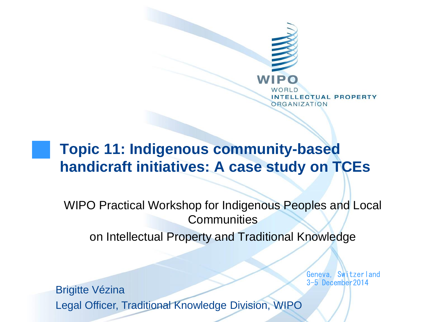

### **Topic 11: Indigenous community-based handicraft initiatives: A case study on TCEs**

WIPO Practical Workshop for Indigenous Peoples and Local **Communities** 

on Intellectual Property and Traditional Knowledge

Geneva, Switzerland 3-5 December2014

Brigitte Vézina Legal Officer, Traditional Knowledge Division, WIPO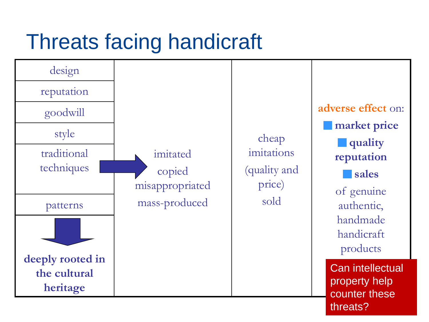## Threats facing handicraft

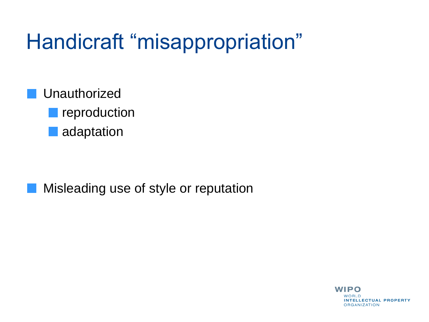## Handicraft "misappropriation"

Unauthorized

**Peroduction** 

adaptation

Misleading use of style or reputation

**WIPO** WORLD **INTELLECTUAL PROPERTY ORGANIZATION**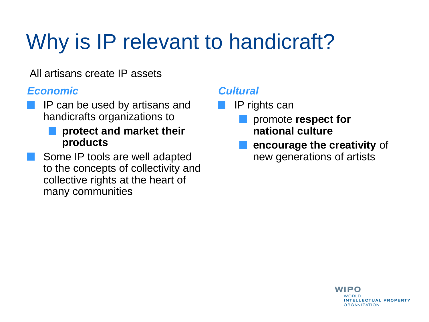# Why is IP relevant to handicraft?

All artisans create IP assets

#### *Economic*

IP can be used by artisans and handicrafts organizations to

#### **protect and market their products**

Some IP tools are well adapted to the concepts of collectivity and collective rights at the heart of many communities

#### *Cultural*

- IP rights can
	- promote **respect for national culture**
	- **encourage the creativity** of new generations of artists

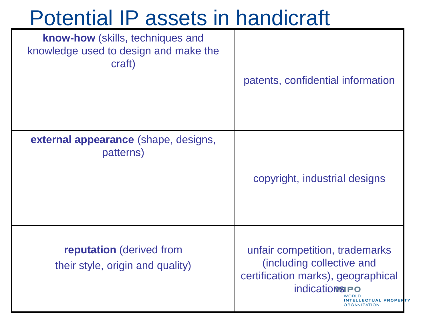### Potential IP assets in handicraft

| <b>know-how</b> (skills, techniques and<br>knowledge used to design and make the<br>craft) | patents, confidential information                                                                                                                                  |
|--------------------------------------------------------------------------------------------|--------------------------------------------------------------------------------------------------------------------------------------------------------------------|
| <b>external appearance</b> (shape, designs,<br>patterns)                                   | copyright, industrial designs                                                                                                                                      |
| <b>reputation</b> (derived from<br>their style, origin and quality)                        | unfair competition, trademarks<br>(including collective and<br>certification marks), geographical<br><b>indications PO</b><br><b>LECTUAL PROPER</b><br>RGANIZATION |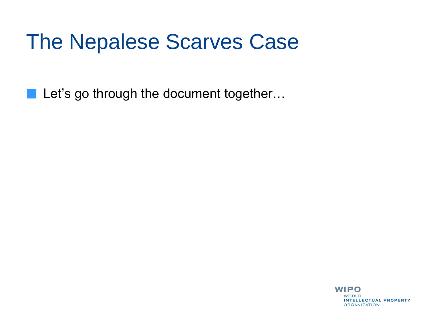### The Nepalese Scarves Case

Let's go through the document together... **College**